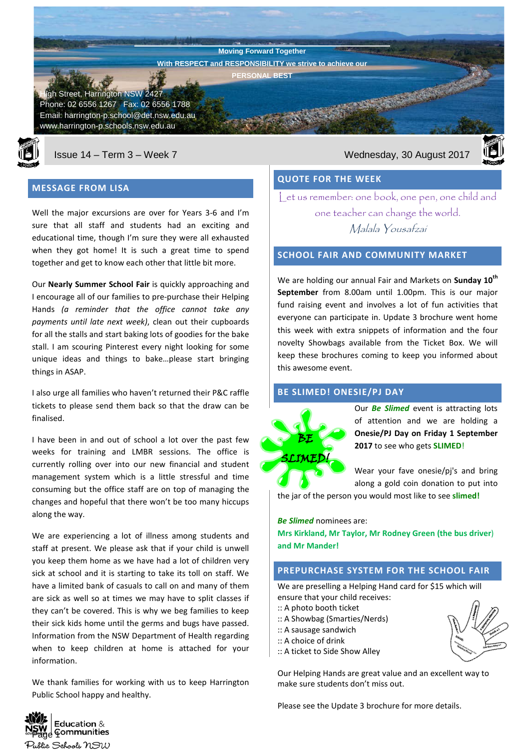**Harrington Public School Newsletter** gh Street, Harrington NSW 2427 Phone: 02 6556 1267 Fax: 02 6556 1788 Email: harrington-p.school@det.nsw.edu.au www.harrington-p.schools.nsw.edu.au **Moving Forward Together With RESPECT and RESPONSIBILITY we strive to achieve our PERSONAL BEST**



### **MESSAGE FROM LISA**

Well the major excursions are over for Years 3-6 and I'm sure that all staff and students had an exciting and educational time, though I'm sure they were all exhausted when they got home! It is such a great time to spend together and get to know each other that little bit more.

Our **Nearly Summer School Fair** is quickly approaching and I encourage all of our families to pre-purchase their Helping Hands *(a reminder that the office cannot take any payments until late next week)*, clean out their cupboards for all the stalls and start baking lots of goodies for the bake stall. I am scouring Pinterest every night looking for some unique ideas and things to bake…please start bringing things in ASAP.

I also urge all families who haven't returned their P&C raffle tickets to please send them back so that the draw can be finalised.

I have been in and out of school a lot over the past few weeks for training and LMBR sessions. The office is currently rolling over into our new financial and student management system which is a little stressful and time consuming but the office staff are on top of managing the changes and hopeful that there won't be too many hiccups along the way.

We are experiencing a lot of illness among students and staff at present. We please ask that if your child is unwell you keep them home as we have had a lot of children very sick at school and it is starting to take its toll on staff. We have a limited bank of casuals to call on and many of them are sick as well so at times we may have to split classes if they can't be covered. This is why we beg families to keep their sick kids home until the germs and bugs have passed. Information from the NSW Department of Health regarding when to keep children at home is attached for your information.

We thank families for working with us to keep Harrington Public School happy and healthy.



# **QUOTE FOR THE WEEK**

Let us remember: one book, one pen, one child and one teacher can change the world. Malala Yousafzai

#### **SCHOOL FAIR AND COMMUNITY MARKET**

We are holding our annual Fair and Markets on **Sunday 10th September** from 8.00am until 1.00pm. This is our major fund raising event and involves a lot of fun activities that everyone can participate in. Update 3 brochure went home this week with extra snippets of information and the four novelty Showbags available from the Ticket Box. We will keep these brochures coming to keep you informed about this awesome event.

### **BE SLIMED! ONESIE/PJ DAY**



Our *Be Slimed* event is attracting lots of attention and we are holding a **Onesie/PJ Day on Friday 1 September 2017** to see who gets **SLIMED**!

Wear your fave onesie/pj's and bring along a gold coin donation to put into

the jar of the person you would most like to see **slimed!**

*Be Slimed* nominees are:

**Mrs Kirkland, Mr Taylor, Mr Rodney Green (the bus driver**) **and Mr Mander!**

# **PREPURCHASE SYSTEM FOR THE SCHOOL FAIR**

We are preselling a Helping Hand card for \$15 which will ensure that your child receives:

- :: A photo booth ticket
- :: A Showbag (Smarties/Nerds)
- :: A sausage sandwich
- :: A choice of drink
- :: A ticket to Side Show Alley

Our Helping Hands are great value and an excellent way to make sure students don't miss out.

Please see the Update 3 brochure for more details.



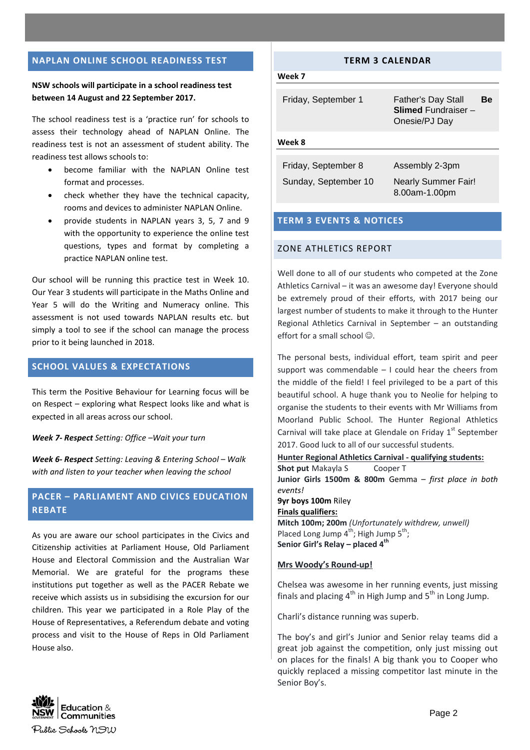### **NAPLAN ONLINE SCHOOL READINESS TEST**

# **NSW schools will participate in a school readiness test between 14 August and 22 September 2017.**

The school readiness test is a 'practice run' for schools to assess their technology ahead of NAPLAN Online. The readiness test is not an assessment of student ability. The readiness test allows schools to:

- become familiar with the NAPLAN Online test format and processes.
- check whether they have the technical capacity, rooms and devices to administer NAPLAN Online.
- provide students in NAPLAN years 3, 5, 7 and 9 with the opportunity to experience the online test questions, types and format by completing a practice NAPLAN online test.

Our school will be running this practice test in Week 10. Our Year 3 students will participate in the Maths Online and Year 5 will do the Writing and Numeracy online. This assessment is not used towards NAPLAN results etc. but simply a tool to see if the school can manage the process prior to it being launched in 2018.

# **SCHOOL VALUES & EXPECTATIONS**

This term the Positive Behaviour for Learning focus will be on Respect – exploring what Respect looks like and what is expected in all areas across our school.

*Week 7- Respect Setting: Office –Wait your turn*

*Week 6- Respect Setting: Leaving & Entering School – Walk with and listen to your teacher when leaving the school*

# **PACER – PARLIAMENT AND CIVICS EDUCATION REBATE**

As you are aware our school participates in the Civics and Citizenship activities at Parliament House, Old Parliament House and Electoral Commission and the Australian War Memorial. We are grateful for the programs these institutions put together as well as the PACER Rebate we receive which assists us in subsidising the excursion for our children. This year we participated in a Role Play of the House of Representatives, a Referendum debate and voting process and visit to the House of Reps in Old Parliament House also.

### **TERM 3 CALENDAR**

#### **Week 7**

| Friday, September 1 | <b>Father's Day Stall</b><br><b>Slimed Fundraiser -</b><br>Onesie/PJ Day | Вe |
|---------------------|--------------------------------------------------------------------------|----|
| Week 8              |                                                                          |    |

| Friday, September 8  | Assembly 2-3pm             |
|----------------------|----------------------------|
| Sunday, September 10 | <b>Nearly Summer Fair!</b> |
|                      | 8.00am-1.00pm              |

# **TERM 3 EVENTS & NOTICES**

### ZONE ATHLETICS REPORT

Well done to all of our students who competed at the Zone Athletics Carnival – it was an awesome day! Everyone should be extremely proud of their efforts, with 2017 being our largest number of students to make it through to the Hunter Regional Athletics Carnival in September – an outstanding effort for a small school  $\odot$ .

The personal bests, individual effort, team spirit and peer support was commendable – I could hear the cheers from the middle of the field! I feel privileged to be a part of this beautiful school. A huge thank you to Neolie for helping to organise the students to their events with Mr Williams from Moorland Public School. The Hunter Regional Athletics Carnival will take place at Glendale on Friday  $1<sup>st</sup>$  September 2017. Good luck to all of our successful students.

**Hunter Regional Athletics Carnival - qualifying students: Shot put** Makayla S Cooper T **Junior Girls 1500m & 800m** Gemma – *first place in both events!* **9yr boys 100m** Riley **Finals qualifiers: Mitch 100m; 200m** *(Unfortunately withdrew, unwell)* Placed Long Jump  $4^{th}$ ; High Jump  $5^{th}$ ; **Senior Girl's Relay – placed 4 th**

**Mrs Woody's Round-up!**

Chelsea was awesome in her running events, just missing finals and placing  $4^{\text{th}}$  in High Jump and  $5^{\text{th}}$  in Long Jump.

Charli's distance running was superb.

The boy's and girl's Junior and Senior relay teams did a great job against the competition, only just missing out on places for the finals! A big thank you to Cooper who quickly replaced a missing competitor last minute in the Senior Boy's.

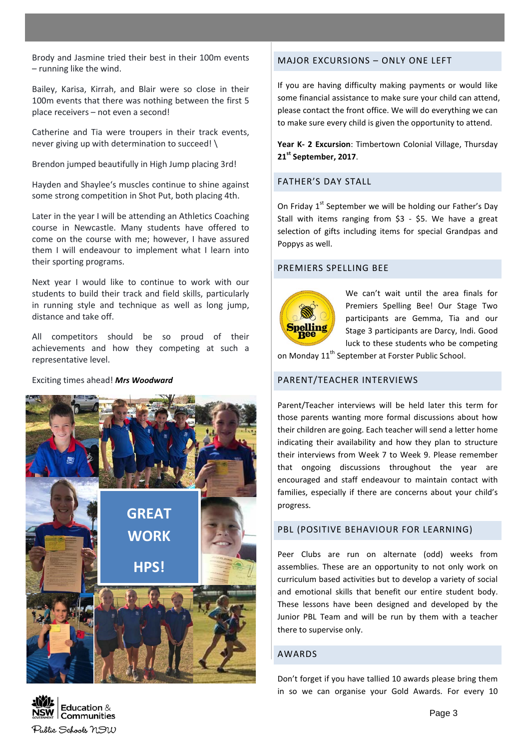Brody and Jasmine tried their best in their 100m events – running like the wind.

Bailey, Karisa, Kirrah, and Blair were so close in their 100m events that there was nothing between the first 5 place receivers – not even a second!

Catherine and Tia were troupers in their track events, never giving up with determination to succeed! \

Brendon jumped beautifully in High Jump placing 3rd!

Hayden and Shaylee's muscles continue to shine against some strong competition in Shot Put, both placing 4th.

Later in the year I will be attending an Athletics Coaching course in Newcastle. Many students have offered to come on the course with me; however, I have assured them I will endeavour to implement what I learn into their sporting programs.

Next year I would like to continue to work with our students to build their track and field skills, particularly in running style and technique as well as long jump, distance and take off.

All competitors should be so proud of their achievements and how they competing at such a representative level.

### Exciting times ahead! *Mrs Woodward*



# MAJOR EXCURSIONS – ONLY ONE LEFT

If you are having difficulty making payments or would like some financial assistance to make sure your child can attend, please contact the front office. We will do everything we can to make sure every child is given the opportunity to attend.

**Year K- 2 Excursion**: Timbertown Colonial Village, Thursday **21st September, 2017**.

# FATHER'S DAY STALL

On Friday  $1<sup>st</sup>$  September we will be holding our Father's Day Stall with items ranging from \$3 - \$5. We have a great selection of gifts including items for special Grandpas and Poppys as well.

### PREMIERS SPELLING BEE



We can't wait until the area finals for Premiers Spelling Bee! Our Stage Two participants are Gemma, Tia and our Stage 3 participants are Darcy, Indi. Good luck to these students who be competing

on Monday 11<sup>th</sup> September at Forster Public School.

# PARENT/TEACHER INTERVIEWS

Parent/Teacher interviews will be held later this term for those parents wanting more formal discussions about how their children are going. Each teacher will send a letter home indicating their availability and how they plan to structure their interviews from Week 7 to Week 9. Please remember that ongoing discussions throughout the year are encouraged and staff endeavour to maintain contact with families, especially if there are concerns about your child's progress.

### PBL (POSITIVE BEHAVIOUR FOR LEARNING)

Peer Clubs are run on alternate (odd) weeks from assemblies. These are an opportunity to not only work on curriculum based activities but to develop a variety of social and emotional skills that benefit our entire student body. These lessons have been designed and developed by the Junior PBL Team and will be run by them with a teacher there to supervise only.

#### AWARDS

Don't forget if you have tallied 10 awards please bring them in so we can organise your Gold Awards. For every 10

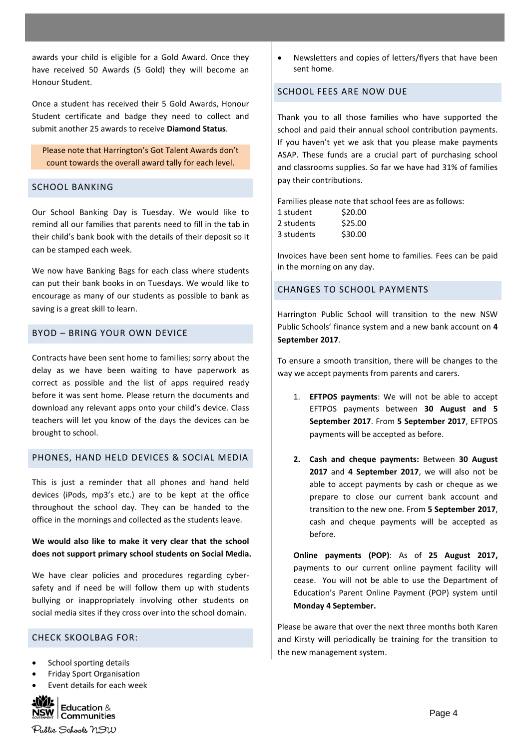awards your child is eligible for a Gold Award. Once they have received 50 Awards (5 Gold) they will become an Honour Student.

Once a student has received their 5 Gold Awards, Honour Student certificate and badge they need to collect and submit another 25 awards to receive **Diamond Status**.

Please note that Harrington's Got Talent Awards don't count towards the overall award tally for each level.

#### SCHOOL BANKING

Our School Banking Day is Tuesday. We would like to remind all our families that parents need to fill in the tab in their child's bank book with the details of their deposit so it can be stamped each week.

We now have Banking Bags for each class where students can put their bank books in on Tuesdays. We would like to encourage as many of our students as possible to bank as saving is a great skill to learn.

### BYOD – BRING YOUR OWN DEVICE

Contracts have been sent home to families; sorry about the delay as we have been waiting to have paperwork as correct as possible and the list of apps required ready before it was sent home. Please return the documents and download any relevant apps onto your child's device. Class teachers will let you know of the days the devices can be brought to school.

### PHONES, HAND HELD DEVICES & SOCIAL MEDIA

This is just a reminder that all phones and hand held devices (iPods, mp3's etc.) are to be kept at the office throughout the school day. They can be handed to the office in the mornings and collected as the students leave.

### **We would also like to make it very clear that the school does not support primary school students on Social Media.**

We have clear policies and procedures regarding cybersafety and if need be will follow them up with students bullying or inappropriately involving other students on social media sites if they cross over into the school domain.

#### CHECK SKOOLBAG FOR:

- School sporting details
- Friday Sport Organisation
- Event details for each week



• Newsletters and copies of letters/flyers that have been sent home.

# SCHOOL FEES ARE NOW DUE

Thank you to all those families who have supported the school and paid their annual school contribution payments. If you haven't yet we ask that you please make payments ASAP. These funds are a crucial part of purchasing school and classrooms supplies. So far we have had 31% of families pay their contributions.

Families please note that school fees are as follows:

| 1 student  | \$20.00 |
|------------|---------|
| 2 students | \$25.00 |
| 3 students | \$30.00 |

Invoices have been sent home to families. Fees can be paid in the morning on any day.

#### CHANGES TO SCHOOL PAYMENTS

Harrington Public School will transition to the new NSW Public Schools' finance system and a new bank account on **4 September 2017**.

To ensure a smooth transition, there will be changes to the way we accept payments from parents and carers.

- 1. **EFTPOS payments**: We will not be able to accept EFTPOS payments between **30 August and 5 September 2017**. From **5 September 2017**, EFTPOS payments will be accepted as before.
- **2. Cash and cheque payments:** Between **30 August 2017** and **4 September 2017**, we will also not be able to accept payments by cash or cheque as we prepare to close our current bank account and transition to the new one. From **5 September 2017**, cash and cheque payments will be accepted as before.

**Online payments (POP)**: As of **25 August 2017,** payments to our current online payment facility will cease. You will not be able to use the Department of Education's Parent Online Payment (POP) system until **Monday 4 September.**

Please be aware that over the next three months both Karen and Kirsty will periodically be training for the transition to the new management system.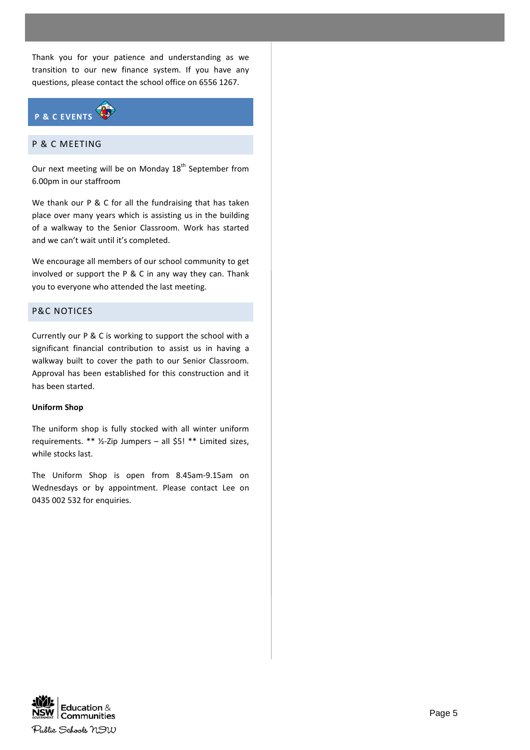Thank you for your patience and understanding as we transition to our new finance system. If you have any questions, please contact the school office on 6556 1267.



# P & C MEETING

Our next meeting will be on Monday 18<sup>th</sup> September from 6.00pm in our staffroom

We thank our P & C for all the fundraising that has taken place over many years which is assisting us in the building of a walkway to the Senior Classroom. Work has started and we can't wait until it's completed.

We encourage all members of our school community to get involved or support the P & C in any way they can. Thank you to everyone who attended the last meeting.

### P&C NOTICES

Currently our P & C is working to support the school with a significant financial contribution to assist us in having a walkway built to cover the path to our Senior Classroom. Approval has been established for this construction and it has been started.

### **Uniform Shop**

The uniform shop is fully stocked with all winter uniform requirements. \*\* ½-Zip Jumpers – all \$5! \*\* Limited sizes, while stocks last.

The Uniform Shop is open from 8.45am-9.15am on Wednesdays or by appointment. Please contact Lee on 0435 002 532 for enquiries.